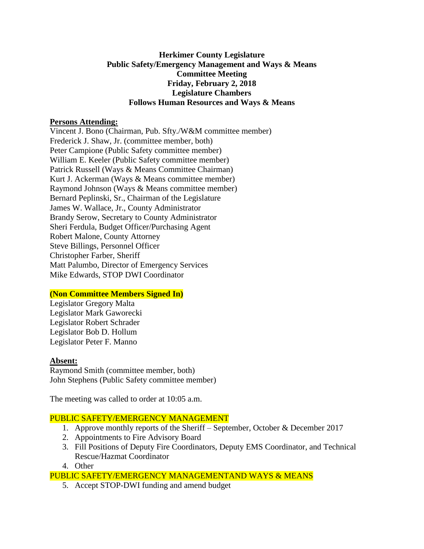## **Herkimer County Legislature Public Safety/Emergency Management and Ways & Means Committee Meeting Friday, February 2, 2018 Legislature Chambers Follows Human Resources and Ways & Means**

#### **Persons Attending:**

Vincent J. Bono (Chairman, Pub. Sfty./W&M committee member) Frederick J. Shaw, Jr. (committee member, both) Peter Campione (Public Safety committee member) William E. Keeler (Public Safety committee member) Patrick Russell (Ways & Means Committee Chairman) Kurt J. Ackerman (Ways & Means committee member) Raymond Johnson (Ways & Means committee member) Bernard Peplinski, Sr., Chairman of the Legislature James W. Wallace, Jr., County Administrator Brandy Serow, Secretary to County Administrator Sheri Ferdula, Budget Officer/Purchasing Agent Robert Malone, County Attorney Steve Billings, Personnel Officer Christopher Farber, Sheriff Matt Palumbo, Director of Emergency Services Mike Edwards, STOP DWI Coordinator

# **(Non Committee Members Signed In)**

Legislator Gregory Malta Legislator Mark Gaworecki Legislator Robert Schrader Legislator Bob D. Hollum Legislator Peter F. Manno

#### **Absent:**

Raymond Smith (committee member, both) John Stephens (Public Safety committee member)

The meeting was called to order at 10:05 a.m.

# PUBLIC SAFETY/EMERGENCY MANAGEMENT

- 1. Approve monthly reports of the Sheriff September, October & December 2017
- 2. Appointments to Fire Advisory Board
- 3. Fill Positions of Deputy Fire Coordinators, Deputy EMS Coordinator, and Technical Rescue/Hazmat Coordinator
- 4. Other

PUBLIC SAFETY/EMERGENCY MANAGEMENTAND WAYS & MEANS

5. Accept STOP-DWI funding and amend budget